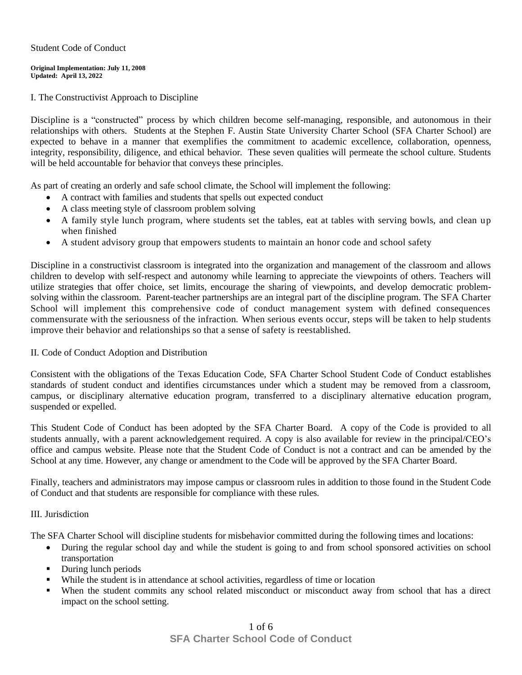#### Student Code of Conduct

#### **Original Implementation: July 11, 2008 Updated: April 13, 2022**

I. The Constructivist Approach to Discipline

Discipline is a "constructed" process by which children become self-managing, responsible, and autonomous in their relationships with others. Students at the Stephen F. Austin State University Charter School (SFA Charter School) are expected to behave in a manner that exemplifies the commitment to academic excellence, collaboration, openness, integrity, responsibility, diligence, and ethical behavior. These seven qualities will permeate the school culture. Students will be held accountable for behavior that conveys these principles.

As part of creating an orderly and safe school climate, the School will implement the following:

- A contract with families and students that spells out expected conduct
- A class meeting style of classroom problem solving
- A family style lunch program, where students set the tables, eat at tables with serving bowls, and clean up when finished
- A student advisory group that empowers students to maintain an honor code and school safety

Discipline in a constructivist classroom is integrated into the organization and management of the classroom and allows children to develop with self-respect and autonomy while learning to appreciate the viewpoints of others. Teachers will utilize strategies that offer choice, set limits, encourage the sharing of viewpoints, and develop democratic problemsolving within the classroom. Parent-teacher partnerships are an integral part of the discipline program. The SFA Charter School will implement this comprehensive code of conduct management system with defined consequences commensurate with the seriousness of the infraction. When serious events occur, steps will be taken to help students improve their behavior and relationships so that a sense of safety is reestablished.

#### II. Code of Conduct Adoption and Distribution

Consistent with the obligations of the Texas Education Code, SFA Charter School Student Code of Conduct establishes standards of student conduct and identifies circumstances under which a student may be removed from a classroom, campus, or disciplinary alternative education program, transferred to a disciplinary alternative education program, suspended or expelled.

This Student Code of Conduct has been adopted by the SFA Charter Board. A copy of the Code is provided to all students annually, with a parent acknowledgement required. A copy is also available for review in the principal/CEO's office and campus website. Please note that the Student Code of Conduct is not a contract and can be amended by the School at any time. However, any change or amendment to the Code will be approved by the SFA Charter Board.

Finally, teachers and administrators may impose campus or classroom rules in addition to those found in the Student Code of Conduct and that students are responsible for compliance with these rules.

#### III. Jurisdiction

The SFA Charter School will discipline students for misbehavior committed during the following times and locations:

- During the regular school day and while the student is going to and from school sponsored activities on school transportation
- During lunch periods
- While the student is in attendance at school activities, regardless of time or location
- When the student commits any school related misconduct or misconduct away from school that has a direct impact on the school setting.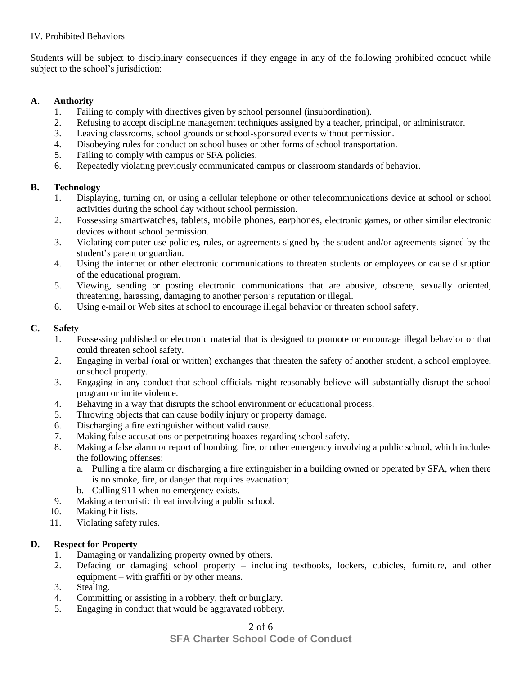### IV. Prohibited Behaviors

Students will be subject to disciplinary consequences if they engage in any of the following prohibited conduct while subject to the school's jurisdiction:

### **A. Authority**

- 1. Failing to comply with directives given by school personnel (insubordination).
- 2. Refusing to accept discipline management techniques assigned by a teacher, principal, or administrator.
- 3. Leaving classrooms, school grounds or school-sponsored events without permission.
- 4. Disobeying rules for conduct on school buses or other forms of school transportation.
- 5. Failing to comply with campus or SFA policies.
- 6. Repeatedly violating previously communicated campus or classroom standards of behavior.

## **B. Technology**

- 1. Displaying, turning on, or using a cellular telephone or other telecommunications device at school or school activities during the school day without school permission.
- 2. Possessing smartwatches, tablets, mobile phones, earphones, electronic games, or other similar electronic devices without school permission.
- 3. Violating computer use policies, rules, or agreements signed by the student and/or agreements signed by the student's parent or guardian.
- 4. Using the internet or other electronic communications to threaten students or employees or cause disruption of the educational program.
- 5. Viewing, sending or posting electronic communications that are abusive, obscene, sexually oriented, threatening, harassing, damaging to another person's reputation or illegal.
- 6. Using e-mail or Web sites at school to encourage illegal behavior or threaten school safety.

# **C. Safety**

- 1. Possessing published or electronic material that is designed to promote or encourage illegal behavior or that could threaten school safety.
- 2. Engaging in verbal (oral or written) exchanges that threaten the safety of another student, a school employee, or school property.
- 3. Engaging in any conduct that school officials might reasonably believe will substantially disrupt the school program or incite violence.
- 4. Behaving in a way that disrupts the school environment or educational process.
- 5. Throwing objects that can cause bodily injury or property damage.
- 6. Discharging a fire extinguisher without valid cause.
- 7. Making false accusations or perpetrating hoaxes regarding school safety.
- 8. Making a false alarm or report of bombing, fire, or other emergency involving a public school, which includes the following offenses:
	- a. Pulling a fire alarm or discharging a fire extinguisher in a building owned or operated by SFA, when there is no smoke, fire, or danger that requires evacuation;
	- b. Calling 911 when no emergency exists.
- 9. Making a terroristic threat involving a public school.
- 10. Making hit lists.
- 11. Violating safety rules.

# **D. Respect for Property**

- 1. Damaging or vandalizing property owned by others.
- 2. Defacing or damaging school property including textbooks, lockers, cubicles, furniture, and other equipment – with graffiti or by other means.
- 3. Stealing.
- 4. Committing or assisting in a robbery, theft or burglary.
- 5. Engaging in conduct that would be aggravated robbery.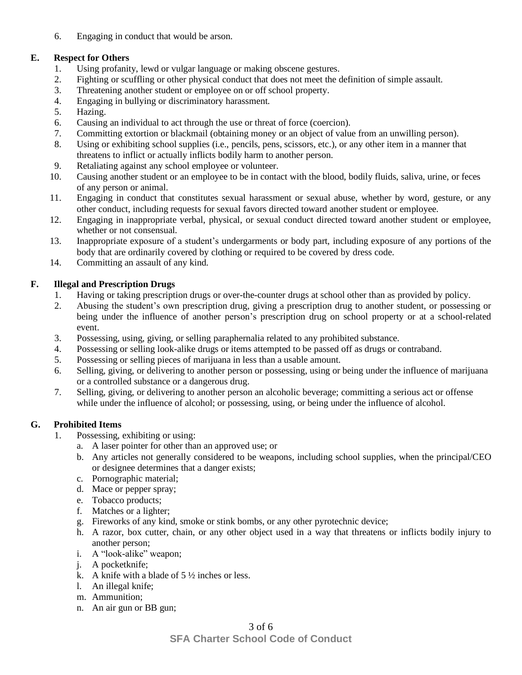6. Engaging in conduct that would be arson.

### **E. Respect for Others**

- 1. Using profanity, lewd or vulgar language or making obscene gestures.
- 2. Fighting or scuffling or other physical conduct that does not meet the definition of simple assault.
- 3. Threatening another student or employee on or off school property.
- 4. Engaging in bullying or discriminatory harassment.
- 5. Hazing.
- 6. Causing an individual to act through the use or threat of force (coercion).
- 7. Committing extortion or blackmail (obtaining money or an object of value from an unwilling person).
- 8. Using or exhibiting school supplies (i.e., pencils, pens, scissors, etc.), or any other item in a manner that threatens to inflict or actually inflicts bodily harm to another person.
- 9. Retaliating against any school employee or volunteer.
- 10. Causing another student or an employee to be in contact with the blood, bodily fluids, saliva, urine, or feces of any person or animal.
- 11. Engaging in conduct that constitutes sexual harassment or sexual abuse, whether by word, gesture, or any other conduct, including requests for sexual favors directed toward another student or employee.
- 12. Engaging in inappropriate verbal, physical, or sexual conduct directed toward another student or employee, whether or not consensual.
- 13. Inappropriate exposure of a student's undergarments or body part, including exposure of any portions of the body that are ordinarily covered by clothing or required to be covered by dress code.
- 14. Committing an assault of any kind.

## **F. Illegal and Prescription Drugs**

- 1. Having or taking prescription drugs or over-the-counter drugs at school other than as provided by policy.
- 2. Abusing the student's own prescription drug, giving a prescription drug to another student, or possessing or being under the influence of another person's prescription drug on school property or at a school-related event.
- 3. Possessing, using, giving, or selling paraphernalia related to any prohibited substance.
- 4. Possessing or selling look-alike drugs or items attempted to be passed off as drugs or contraband.
- 5. Possessing or selling pieces of marijuana in less than a usable amount.
- 6. Selling, giving, or delivering to another person or possessing, using or being under the influence of marijuana or a controlled substance or a dangerous drug.
- 7. Selling, giving, or delivering to another person an alcoholic beverage; committing a serious act or offense while under the influence of alcohol; or possessing, using, or being under the influence of alcohol.

# **G. Prohibited Items**

- 1. Possessing, exhibiting or using:
	- a. A laser pointer for other than an approved use; or
	- b. Any articles not generally considered to be weapons, including school supplies, when the principal/CEO or designee determines that a danger exists;
	- c. Pornographic material;
	- d. Mace or pepper spray;
	- e. Tobacco products;
	- f. Matches or a lighter;
	- g. Fireworks of any kind, smoke or stink bombs, or any other pyrotechnic device;
	- h. A razor, box cutter, chain, or any other object used in a way that threatens or inflicts bodily injury to another person;
	- i. A "look-alike" weapon;
	- j. A pocketknife;
	- k. A knife with a blade of  $5\frac{1}{2}$  inches or less.
	- l. An illegal knife;
	- m. Ammunition;
	- n. An air gun or BB gun;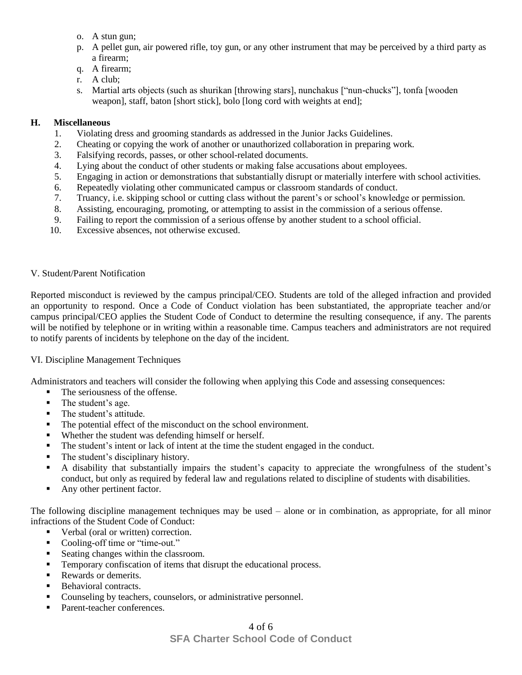- o. A stun gun;
- p. A pellet gun, air powered rifle, toy gun, or any other instrument that may be perceived by a third party as a firearm;
- q. A firearm;
- r. A club;
- s. Martial arts objects (such as shurikan [throwing stars], nunchakus ["nun-chucks"], tonfa [wooden weapon], staff, baton [short stick], bolo [long cord with weights at end];

#### **H. Miscellaneous**

- 1. Violating dress and grooming standards as addressed in the Junior Jacks Guidelines.
- 2. Cheating or copying the work of another or unauthorized collaboration in preparing work.
- 3. Falsifying records, passes, or other school-related documents.
- 4. Lying about the conduct of other students or making false accusations about employees.
- 5. Engaging in action or demonstrations that substantially disrupt or materially interfere with school activities.
- 6. Repeatedly violating other communicated campus or classroom standards of conduct.
- 7. Truancy, i.e. skipping school or cutting class without the parent's or school's knowledge or permission.
- 8. Assisting, encouraging, promoting, or attempting to assist in the commission of a serious offense.
- 9. Failing to report the commission of a serious offense by another student to a school official.
- 10. Excessive absences, not otherwise excused.

#### V. Student/Parent Notification

Reported misconduct is reviewed by the campus principal/CEO. Students are told of the alleged infraction and provided an opportunity to respond. Once a Code of Conduct violation has been substantiated, the appropriate teacher and/or campus principal/CEO applies the Student Code of Conduct to determine the resulting consequence, if any. The parents will be notified by telephone or in writing within a reasonable time. Campus teachers and administrators are not required to notify parents of incidents by telephone on the day of the incident.

#### VI. Discipline Management Techniques

Administrators and teachers will consider the following when applying this Code and assessing consequences:

- The seriousness of the offense.
- The student's age.
- The student's attitude.
- The potential effect of the misconduct on the school environment.
- Whether the student was defending himself or herself.
- The student's intent or lack of intent at the time the student engaged in the conduct.
- The student's disciplinary history.
- A disability that substantially impairs the student's capacity to appreciate the wrongfulness of the student's conduct, but only as required by federal law and regulations related to discipline of students with disabilities.
- Any other pertinent factor.

The following discipline management techniques may be used – alone or in combination, as appropriate, for all minor infractions of the Student Code of Conduct:

- Verbal (oral or written) correction.
- Cooling-off time or "time-out."
- Seating changes within the classroom.
- **Temporary confiscation of items that disrupt the educational process.**
- Rewards or demerits.
- Behavioral contracts.
- Counseling by teachers, counselors, or administrative personnel.
- Parent-teacher conferences.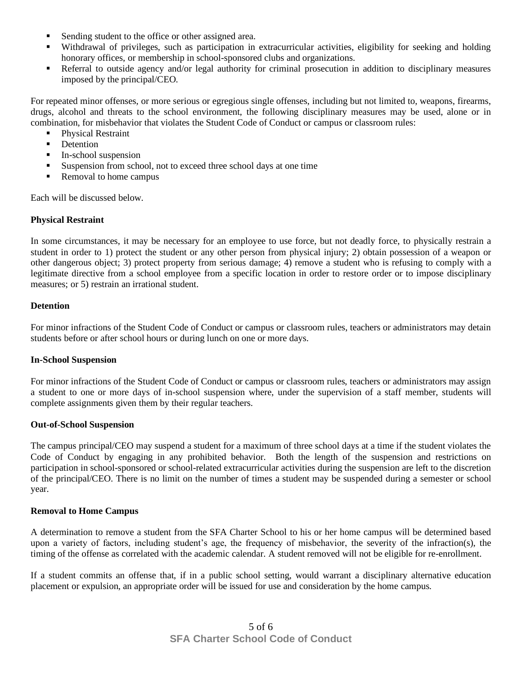- Sending student to the office or other assigned area.
- Withdrawal of privileges, such as participation in extracurricular activities, eligibility for seeking and holding honorary offices, or membership in school-sponsored clubs and organizations.
- Referral to outside agency and/or legal authority for criminal prosecution in addition to disciplinary measures imposed by the principal/CEO.

For repeated minor offenses, or more serious or egregious single offenses, including but not limited to, weapons, firearms, drugs, alcohol and threats to the school environment, the following disciplinary measures may be used, alone or in combination, for misbehavior that violates the Student Code of Conduct or campus or classroom rules:

- **Physical Restraint**
- **•** Detention
- In-school suspension
- Suspension from school, not to exceed three school days at one time
- Removal to home campus

Each will be discussed below.

#### **Physical Restraint**

In some circumstances, it may be necessary for an employee to use force, but not deadly force, to physically restrain a student in order to 1) protect the student or any other person from physical injury; 2) obtain possession of a weapon or other dangerous object; 3) protect property from serious damage; 4) remove a student who is refusing to comply with a legitimate directive from a school employee from a specific location in order to restore order or to impose disciplinary measures; or 5) restrain an irrational student.

#### **Detention**

For minor infractions of the Student Code of Conduct or campus or classroom rules, teachers or administrators may detain students before or after school hours or during lunch on one or more days.

#### **In-School Suspension**

For minor infractions of the Student Code of Conduct or campus or classroom rules, teachers or administrators may assign a student to one or more days of in-school suspension where, under the supervision of a staff member, students will complete assignments given them by their regular teachers.

#### **Out-of-School Suspension**

The campus principal/CEO may suspend a student for a maximum of three school days at a time if the student violates the Code of Conduct by engaging in any prohibited behavior. Both the length of the suspension and restrictions on participation in school-sponsored or school-related extracurricular activities during the suspension are left to the discretion of the principal/CEO. There is no limit on the number of times a student may be suspended during a semester or school year.

#### **Removal to Home Campus**

A determination to remove a student from the SFA Charter School to his or her home campus will be determined based upon a variety of factors, including student's age, the frequency of misbehavior, the severity of the infraction(s), the timing of the offense as correlated with the academic calendar. A student removed will not be eligible for re-enrollment.

If a student commits an offense that, if in a public school setting, would warrant a disciplinary alternative education placement or expulsion, an appropriate order will be issued for use and consideration by the home campus.